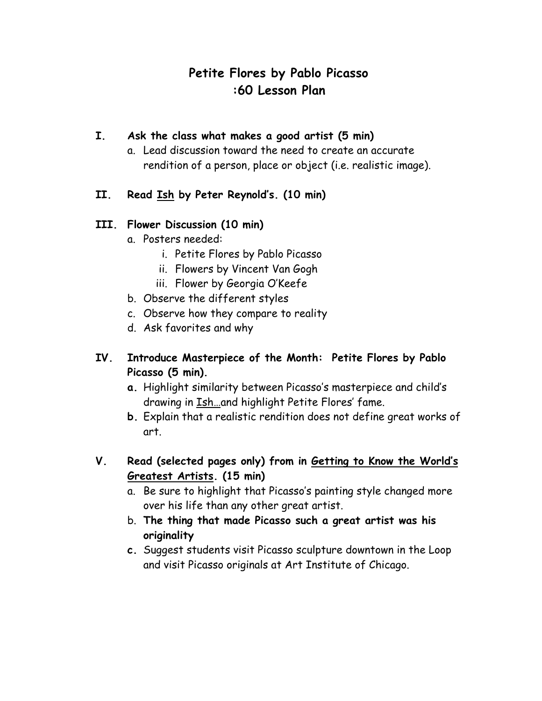# **Petite Flores by Pablo Picasso :60 Lesson Plan**

#### **I. Ask the class what makes a good artist (5 min)**

- a. Lead discussion toward the need to create an accurate rendition of a person, place or object (i.e. realistic image).
- **II. Read Ish by Peter Reynold's. (10 min)**

#### **III. Flower Discussion (10 min)**

- a. Posters needed:
	- i. Petite Flores by Pablo Picasso
	- ii. Flowers by Vincent Van Gogh
	- iii. Flower by Georgia O'Keefe
- b. Observe the different styles
- c. Observe how they compare to reality
- d. Ask favorites and why

## **IV. Introduce Masterpiece of the Month: Petite Flores by Pablo Picasso (5 min).**

- **a.** Highlight similarity between Picasso's masterpiece and child's drawing in Ish…and highlight Petite Flores' fame.
- **b.** Explain that a realistic rendition does not define great works of art.
- **V. Read (selected pages only) from in Getting to Know the World's Greatest Artists. (15 min)**
	- a. Be sure to highlight that Picasso's painting style changed more over his life than any other great artist.
	- b. **The thing that made Picasso such a great artist was his originality**
	- **c.** Suggest students visit Picasso sculpture downtown in the Loop and visit Picasso originals at Art Institute of Chicago.